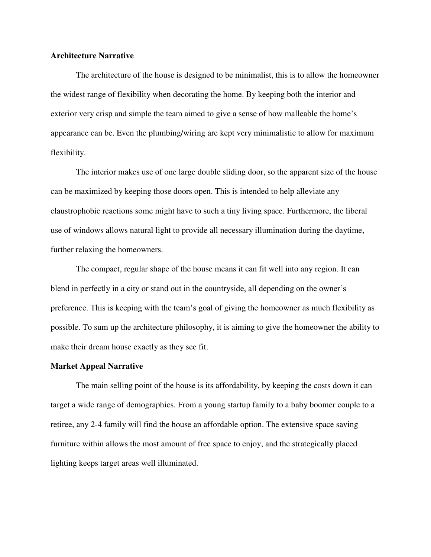## **Architecture Narrative**

 The architecture of the house is designed to be minimalist, this is to allow the homeowner the widest range of flexibility when decorating the home. By keeping both the interior and exterior very crisp and simple the team aimed to give a sense of how malleable the home's appearance can be. Even the plumbing/wiring are kept very minimalistic to allow for maximum flexibility.

 The interior makes use of one large double sliding door, so the apparent size of the house can be maximized by keeping those doors open. This is intended to help alleviate any claustrophobic reactions some might have to such a tiny living space. Furthermore, the liberal use of windows allows natural light to provide all necessary illumination during the daytime, further relaxing the homeowners.

 The compact, regular shape of the house means it can fit well into any region. It can blend in perfectly in a city or stand out in the countryside, all depending on the owner's preference. This is keeping with the team's goal of giving the homeowner as much flexibility as possible. To sum up the architecture philosophy, it is aiming to give the homeowner the ability to make their dream house exactly as they see fit.

## **Market Appeal Narrative**

 The main selling point of the house is its affordability, by keeping the costs down it can target a wide range of demographics. From a young startup family to a baby boomer couple to a retiree, any 2-4 family will find the house an affordable option. The extensive space saving furniture within allows the most amount of free space to enjoy, and the strategically placed lighting keeps target areas well illuminated.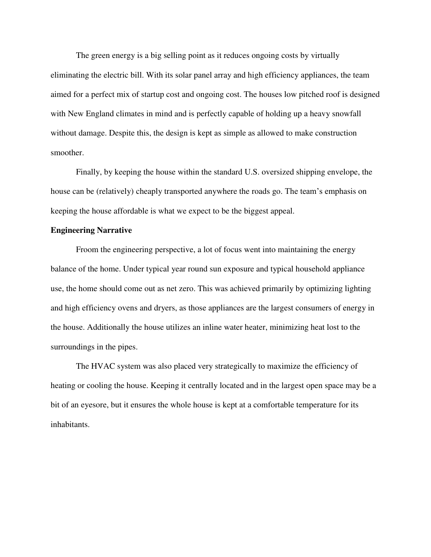The green energy is a big selling point as it reduces ongoing costs by virtually eliminating the electric bill. With its solar panel array and high efficiency appliances, the team aimed for a perfect mix of startup cost and ongoing cost. The houses low pitched roof is designed with New England climates in mind and is perfectly capable of holding up a heavy snowfall without damage. Despite this, the design is kept as simple as allowed to make construction smoother.

 Finally, by keeping the house within the standard U.S. oversized shipping envelope, the house can be (relatively) cheaply transported anywhere the roads go. The team's emphasis on keeping the house affordable is what we expect to be the biggest appeal.

## **Engineering Narrative**

 Froom the engineering perspective, a lot of focus went into maintaining the energy balance of the home. Under typical year round sun exposure and typical household appliance use, the home should come out as net zero. This was achieved primarily by optimizing lighting and high efficiency ovens and dryers, as those appliances are the largest consumers of energy in the house. Additionally the house utilizes an inline water heater, minimizing heat lost to the surroundings in the pipes.

 The HVAC system was also placed very strategically to maximize the efficiency of heating or cooling the house. Keeping it centrally located and in the largest open space may be a bit of an eyesore, but it ensures the whole house is kept at a comfortable temperature for its inhabitants.